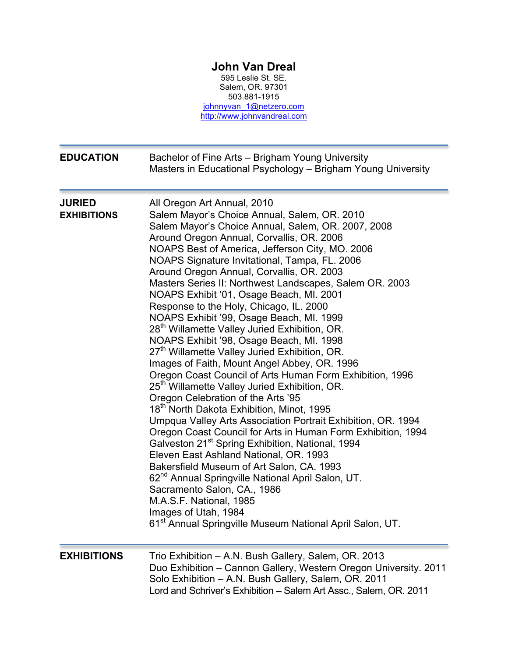## **John Van Dreal**

595 Leslie St. SE. Salem, OR. 97301 503.881-1915 johnnyvan\_1@netzero.com http://www.johnvandreal.com

| <b>EDUCATION</b>                    | Bachelor of Fine Arts - Brigham Young University<br>Masters in Educational Psychology - Brigham Young University                                                                                                                                                                                                                                                                                                                                                                                                                                                                                                                                                                                                                                                                                                                                                                                                                                                                                                                                                                                                                                                                                                                                                                                                                                                                                                                                                                              |
|-------------------------------------|-----------------------------------------------------------------------------------------------------------------------------------------------------------------------------------------------------------------------------------------------------------------------------------------------------------------------------------------------------------------------------------------------------------------------------------------------------------------------------------------------------------------------------------------------------------------------------------------------------------------------------------------------------------------------------------------------------------------------------------------------------------------------------------------------------------------------------------------------------------------------------------------------------------------------------------------------------------------------------------------------------------------------------------------------------------------------------------------------------------------------------------------------------------------------------------------------------------------------------------------------------------------------------------------------------------------------------------------------------------------------------------------------------------------------------------------------------------------------------------------------|
| <b>JURIED</b><br><b>EXHIBITIONS</b> | All Oregon Art Annual, 2010<br>Salem Mayor's Choice Annual, Salem, OR. 2010<br>Salem Mayor's Choice Annual, Salem, OR. 2007, 2008<br>Around Oregon Annual, Corvallis, OR. 2006<br>NOAPS Best of America, Jefferson City, MO. 2006<br>NOAPS Signature Invitational, Tampa, FL. 2006<br>Around Oregon Annual, Corvallis, OR. 2003<br>Masters Series II: Northwest Landscapes, Salem OR. 2003<br>NOAPS Exhibit '01, Osage Beach, MI. 2001<br>Response to the Holy, Chicago, IL. 2000<br>NOAPS Exhibit '99, Osage Beach, MI. 1999<br>28 <sup>th</sup> Willamette Valley Juried Exhibition, OR.<br>NOAPS Exhibit '98, Osage Beach, MI. 1998<br>27 <sup>th</sup> Willamette Valley Juried Exhibition, OR.<br>Images of Faith, Mount Angel Abbey, OR. 1996<br>Oregon Coast Council of Arts Human Form Exhibition, 1996<br>25 <sup>th</sup> Willamette Valley Juried Exhibition, OR.<br>Oregon Celebration of the Arts '95<br>18 <sup>th</sup> North Dakota Exhibition, Minot, 1995<br>Umpqua Valley Arts Association Portrait Exhibition, OR. 1994<br>Oregon Coast Council for Arts in Human Form Exhibition, 1994<br>Galveston 21 <sup>st</sup> Spring Exhibition, National, 1994<br>Eleven East Ashland National, OR. 1993<br>Bakersfield Museum of Art Salon, CA. 1993<br>62 <sup>nd</sup> Annual Springville National April Salon, UT.<br>Sacramento Salon, CA., 1986<br>M.A.S.F. National, 1985<br>Images of Utah, 1984<br>61 <sup>st</sup> Annual Springville Museum National April Salon, UT. |
| <b>EXHIBITIONS</b>                  | Trio Exhibition - A.N. Bush Gallery, Salem, OR. 2013<br>Duo Exhibition - Cannon Gallery, Western Oregon University. 2011<br>Solo Exhibition - A.N. Bush Gallery, Salem, OR. 2011<br>Lord and Schriver's Exhibition - Salem Art Assc., Salem, OR. 2011                                                                                                                                                                                                                                                                                                                                                                                                                                                                                                                                                                                                                                                                                                                                                                                                                                                                                                                                                                                                                                                                                                                                                                                                                                         |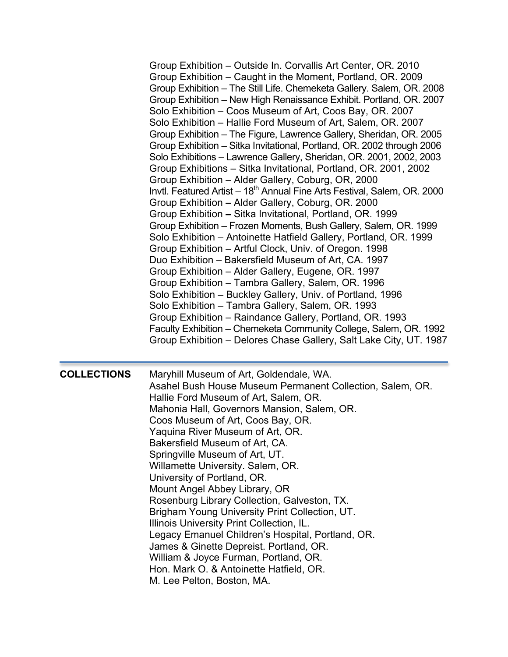|                    | Group Exhibition – Outside In. Corvallis Art Center, OR. 2010<br>Group Exhibition – Caught in the Moment, Portland, OR. 2009<br>Group Exhibition - The Still Life. Chemeketa Gallery. Salem, OR. 2008<br>Group Exhibition - New High Renaissance Exhibit. Portland, OR. 2007<br>Solo Exhibition – Coos Museum of Art, Coos Bay, OR. 2007<br>Solo Exhibition – Hallie Ford Museum of Art, Salem, OR. 2007<br>Group Exhibition – The Figure, Lawrence Gallery, Sheridan, OR. 2005<br>Group Exhibition - Sitka Invitational, Portland, OR. 2002 through 2006<br>Solo Exhibitions - Lawrence Gallery, Sheridan, OR. 2001, 2002, 2003<br>Group Exhibitions - Sitka Invitational, Portland, OR. 2001, 2002<br>Group Exhibition - Alder Gallery, Coburg, OR, 2000<br>Invtl. Featured Artist – 18 <sup>th</sup> Annual Fine Arts Festival, Salem, OR. 2000<br>Group Exhibition - Alder Gallery, Coburg, OR. 2000<br>Group Exhibition - Sitka Invitational, Portland, OR. 1999<br>Group Exhibition - Frozen Moments, Bush Gallery, Salem, OR. 1999<br>Solo Exhibition – Antoinette Hatfield Gallery, Portland, OR. 1999<br>Group Exhibition – Artful Clock, Univ. of Oregon. 1998<br>Duo Exhibition - Bakersfield Museum of Art, CA. 1997<br>Group Exhibition - Alder Gallery, Eugene, OR. 1997<br>Group Exhibition - Tambra Gallery, Salem, OR. 1996<br>Solo Exhibition – Buckley Gallery, Univ. of Portland, 1996<br>Solo Exhibition - Tambra Gallery, Salem, OR. 1993<br>Group Exhibition – Raindance Gallery, Portland, OR. 1993<br>Faculty Exhibition - Chemeketa Community College, Salem, OR. 1992<br>Group Exhibition - Delores Chase Gallery, Salt Lake City, UT. 1987 |
|--------------------|------------------------------------------------------------------------------------------------------------------------------------------------------------------------------------------------------------------------------------------------------------------------------------------------------------------------------------------------------------------------------------------------------------------------------------------------------------------------------------------------------------------------------------------------------------------------------------------------------------------------------------------------------------------------------------------------------------------------------------------------------------------------------------------------------------------------------------------------------------------------------------------------------------------------------------------------------------------------------------------------------------------------------------------------------------------------------------------------------------------------------------------------------------------------------------------------------------------------------------------------------------------------------------------------------------------------------------------------------------------------------------------------------------------------------------------------------------------------------------------------------------------------------------------------------------------------------------------------------------------------------------------------------------------------|
| <b>COLLECTIONS</b> | Maryhill Museum of Art, Goldendale, WA.<br>Asahel Bush House Museum Permanent Collection, Salem, OR.<br>Hallie Ford Museum of Art, Salem, OR.<br>Mahonia Hall, Governors Mansion, Salem, OR.<br>Coos Museum of Art, Coos Bay, OR.<br>Yaquina River Museum of Art, OR.<br>Bakersfield Museum of Art, CA.<br>Springville Museum of Art, UT.<br>Willamette University. Salem, OR.<br>University of Portland, OR.<br>Mount Angel Abbey Library, OR<br>Rosenburg Library Collection, Galveston, TX.<br>Brigham Young University Print Collection, UT.<br>Illinois University Print Collection, IL.<br>Legacy Emanuel Children's Hospital, Portland, OR.<br>James & Ginette Depreist. Portland, OR.<br>William & Joyce Furman, Portland, OR.<br>Hon. Mark O. & Antoinette Hatfield, OR.<br>M. Lee Pelton, Boston, MA.                                                                                                                                                                                                                                                                                                                                                                                                                                                                                                                                                                                                                                                                                                                                                                                                                                                        |